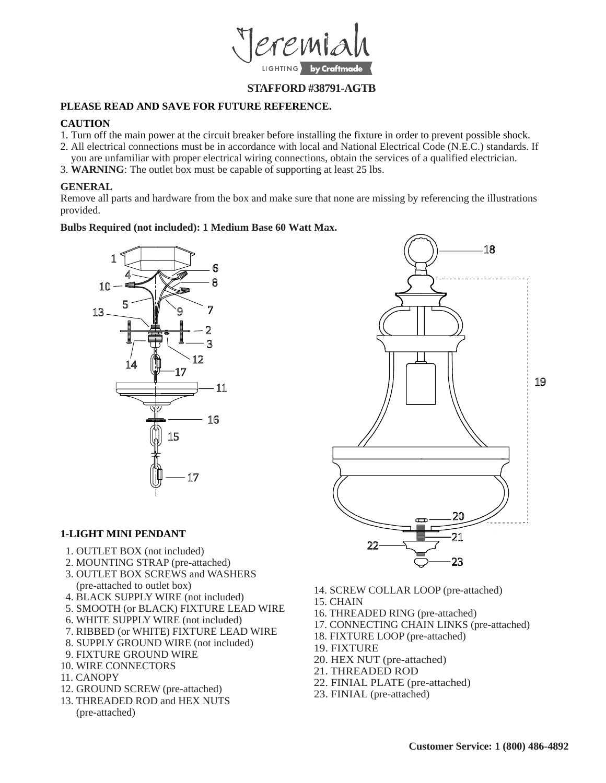

## **STAFFORD #38791-AGTB**

## **PLEASE READ AND SAVE FOR FUTURE REFERENCE.**

#### **CAUTION**

- 1. Turn off the main power at the circuit breaker before installing the fixture in order to prevent possible shock.
- 2. All electrical connections must be in accordance with local and National Electrical Code (N.E.C.) standards. If
- you are unfamiliar with proper electrical wiring connections, obtain the services of a qualified electrician.
- 3. **WARNING**: The outlet box must be capable of supporting at least 25 lbs.

### **GENERAL**

Remove all parts and hardware from the box and make sure that none are missing by referencing the illustrations provided.

#### **Bulbs Required (not included): 1 Medium Base 60 Watt Max.**



#### **1-LIGHT MINI PENDANT**

- 1. OUTLET BOX (not included)
- 2. MOUNTING STRAP (pre-attached)
- 3. OUTLET BOX SCREWS and WASHERS (pre-attached to outlet box)
- 4. BLACK SUPPLY WIRE (not included)
- 5. SMOOTH (or BLACK) FIXTURE LEAD WIRE
- 6. WHITE SUPPLY WIRE (not included)
- 7. RIBBED (or WHITE) FIXTURE LEAD WIRE
- 8. SUPPLY GROUND WIRE (not included)
- 9. FIXTURE GROUND WIRE
- 10. WIRE CONNECTORS
- 11. CANOPY
- 12. GROUND SCREW (pre-attached)
- 13. THREADED ROD and HEX NUTS (pre-attached)
- 14. SCREW COLLAR LOOP (pre-attached)
- 15. CHAIN
- 16. THREADED RING (pre-attached)
- 17. CONNECTING CHAIN LINKS (pre-attached)
- 18. FIXTURE LOOP (pre-attached)
- 19. FIXTURE
- 20. HEX NUT (pre-attached)
- 21. THREADED ROD
- 22. FINIAL PLATE (pre-attached)
- 23. FINIAL (pre-attached)